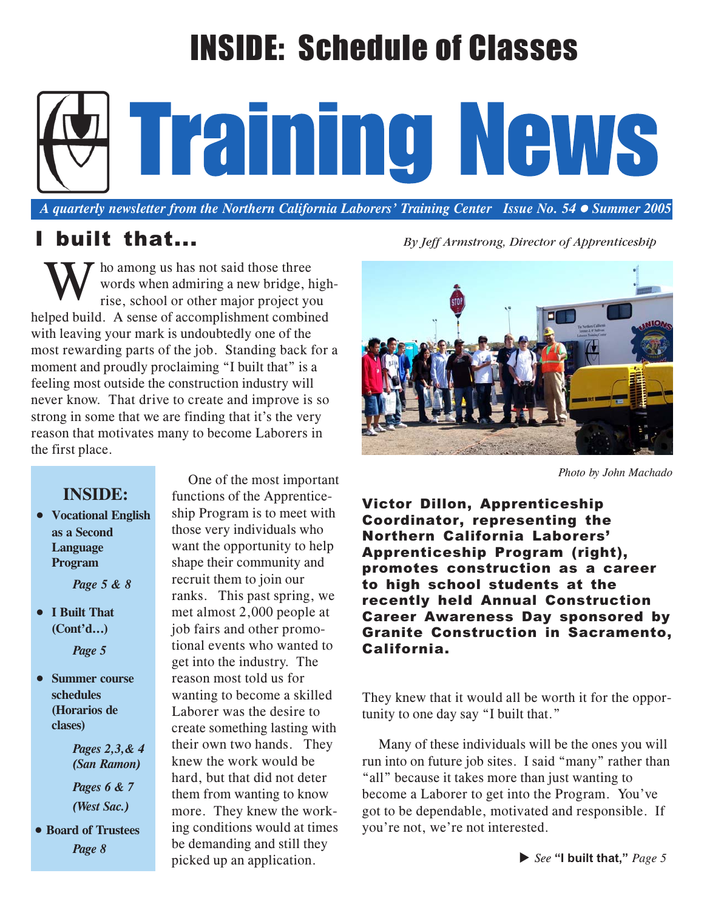# INSIDE: Schedule of Classes

Training News

*A quarterly newsletter from the Northern California Laborers' Training Center Issue No. 54 Summer 2005*

ho among us has not said those three words when admiring a new bridge, highrise, school or other major project you helped build. A sense of accomplishment combined with leaving your mark is undoubtedly one of the most rewarding parts of the job. Standing back for a moment and proudly proclaiming "I built that" is a feeling most outside the construction industry will never know. That drive to create and improve is so strong in some that we are finding that it's the very reason that motivates many to become Laborers in the first place. W

### **INSIDE:**

• **Vocational English as a Second Language Program**

*Page 5 & 8*

• **I Built That (Cont'd...)**

*Page 5*

• **Summer course schedules (Horarios de clases)**

> *Pages 2,3,& 4 (San Ramon)*

*Pages 6 & 7 (West Sac.)*

• **Board of Trustees**

One of the most important functions of the Apprenticeship Program is to meet with those very individuals who want the opportunity to help shape their community and recruit them to join our ranks. This past spring, we met almost 2,000 people at job fairs and other promotional events who wanted to get into the industry. The reason most told us for wanting to become a skilled Laborer was the desire to create something lasting with their own two hands. They knew the work would be hard, but that did not deter them from wanting to know more. They knew the working conditions would at times be demanding and still they picked up an application.<br>a picked up an application.





*Photo by John Machado*

Victor Dillon, Apprenticeship Coordinator, representing the Northern California Laborers' Apprenticeship Program (right), promotes construction as a career to high school students at the recently held Annual Construction Career Awareness Day sponsored by Granite Construction in Sacramento, California.

They knew that it would all be worth it for the opportunity to one day say "I built that."

Many of these individuals will be the ones you will run into on future job sites. I said "many" rather than "all" because it takes more than just wanting to become a Laborer to get into the Program. You've got to be dependable, motivated and responsible. If you're not, we're not interested.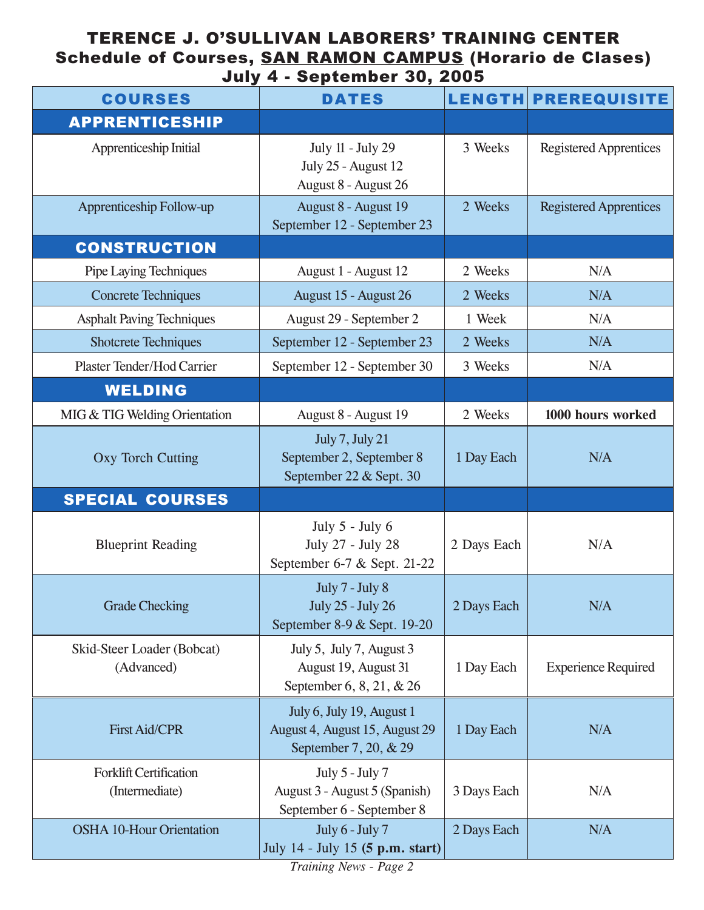### TERENCE J. O'SULLIVAN LABORERS' TRAINING CENTER Schedule of Courses, SAN RAMON CAMPUS (Horario de Clases) July 4 - September 30, 2005

| <b>COURSES</b>                                  | <b>DATES</b>                                                                         |             | LENGTH PREREQUISITE           |
|-------------------------------------------------|--------------------------------------------------------------------------------------|-------------|-------------------------------|
| <b>APPRENTICESHIP</b>                           |                                                                                      |             |                               |
| Apprenticeship Initial                          | July 11 - July 29<br>July 25 - August 12<br>August 8 - August 26                     | 3 Weeks     | <b>Registered Apprentices</b> |
| Apprenticeship Follow-up                        | August 8 - August 19<br>September 12 - September 23                                  | 2 Weeks     | <b>Registered Apprentices</b> |
| <b>CONSTRUCTION</b>                             |                                                                                      |             |                               |
| Pipe Laying Techniques                          | August 1 - August 12                                                                 | 2 Weeks     | N/A                           |
| <b>Concrete Techniques</b>                      | August 15 - August 26                                                                | 2 Weeks     | N/A                           |
| <b>Asphalt Paving Techniques</b>                | August 29 - September 2                                                              | 1 Week      | N/A                           |
| <b>Shotcrete Techniques</b>                     | September 12 - September 23                                                          | 2 Weeks     | N/A                           |
| Plaster Tender/Hod Carrier                      | September 12 - September 30                                                          | 3 Weeks     | N/A                           |
| <b>WELDING</b>                                  |                                                                                      |             |                               |
| MIG & TIG Welding Orientation                   | August 8 - August 19                                                                 | 2 Weeks     | 1000 hours worked             |
| <b>Oxy Torch Cutting</b>                        | July 7, July 21<br>September 2, September 8<br>September 22 & Sept. 30               | 1 Day Each  | N/A                           |
| <b>SPECIAL COURSES</b>                          |                                                                                      |             |                               |
| <b>Blueprint Reading</b>                        | July $5$ - July $6$<br>July 27 - July 28<br>September 6-7 & Sept. 21-22              | 2 Days Each | N/A                           |
| <b>Grade Checking</b>                           | July 7 - July 8<br><b>July 25 - July 26</b><br>September 8-9 & Sept. 19-20           | 2 Days Each | N/A                           |
| Skid-Steer Loader (Bobcat)<br>(Advanced)        | July 5, July 7, August 3<br>August 19, August 31<br>September 6, 8, 21, & 26         | 1 Day Each  | <b>Experience Required</b>    |
| <b>First Aid/CPR</b>                            | July 6, July 19, August 1<br>August 4, August 15, August 29<br>September 7, 20, & 29 | 1 Day Each  | N/A                           |
| <b>Forklift Certification</b><br>(Intermediate) | July 5 - July 7<br>August 3 - August 5 (Spanish)<br>September 6 - September 8        | 3 Days Each | N/A                           |
| <b>OSHA 10-Hour Orientation</b>                 | July 6 - July 7<br>July 14 - July 15 (5 p.m. start)                                  | 2 Days Each | N/A                           |

*Training News - Page 2*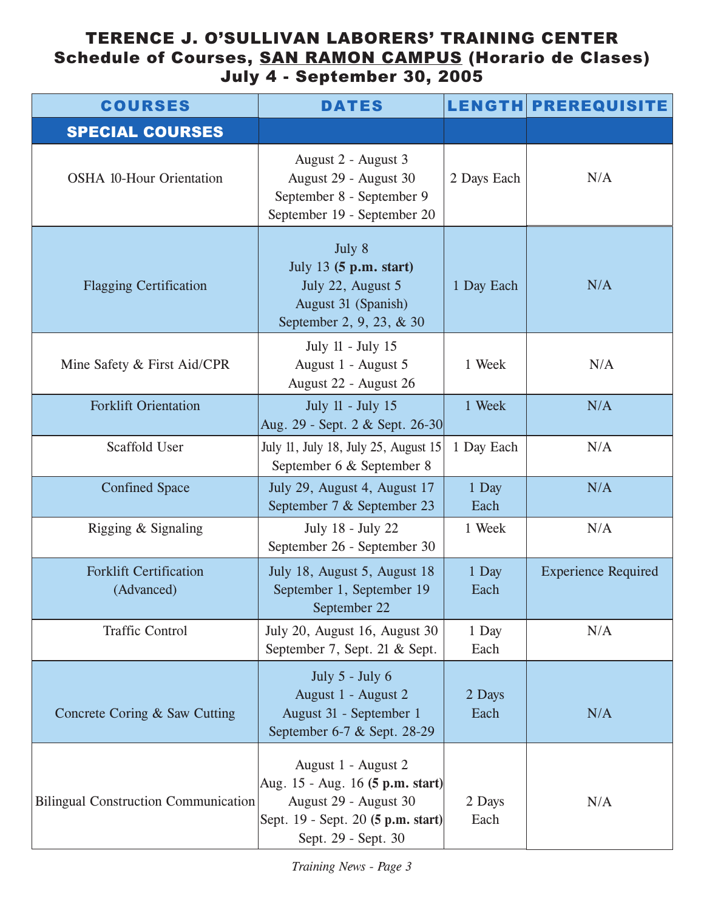### TERENCE J. O'SULLIVAN LABORERS' TRAINING CENTER Schedule of Courses, SAN RAMON CAMPUS (Horario de Clases) July 4 - September 30, 2005

| <b>COURSES</b>                              | <b>DATES</b>                                                                                                                                  |                | <b>LENGTH PREREQUISITE</b> |
|---------------------------------------------|-----------------------------------------------------------------------------------------------------------------------------------------------|----------------|----------------------------|
| <b>SPECIAL COURSES</b>                      |                                                                                                                                               |                |                            |
| <b>OSHA 10-Hour Orientation</b>             | August 2 - August 3<br>August 29 - August 30<br>September 8 - September 9<br>September 19 - September 20                                      | 2 Days Each    | N/A                        |
| <b>Flagging Certification</b>               | July 8<br>July 13 (5 p.m. start)<br>July 22, August 5<br>August 31 (Spanish)<br>September 2, 9, 23, & 30                                      | 1 Day Each     | N/A                        |
| Mine Safety & First Aid/CPR                 | July 11 - July 15<br>August 1 - August 5<br>August 22 - August 26                                                                             | 1 Week         | N/A                        |
| <b>Forklift Orientation</b>                 | July 11 - July 15<br>Aug. 29 - Sept. 2 & Sept. 26-30                                                                                          | 1 Week         | N/A                        |
| Scaffold User                               | July 11, July 18, July 25, August 15<br>September 6 & September 8                                                                             | 1 Day Each     | N/A                        |
| <b>Confined Space</b>                       | July 29, August 4, August 17<br>September 7 & September 23                                                                                    | 1 Day<br>Each  | N/A                        |
| Rigging & Signaling                         | July 18 - July 22<br>September 26 - September 30                                                                                              | 1 Week         | N/A                        |
| <b>Forklift Certification</b><br>(Advanced) | July 18, August 5, August 18<br>September 1, September 19<br>September 22                                                                     | 1 Day<br>Each  | <b>Experience Required</b> |
| <b>Traffic Control</b>                      | July 20, August 16, August 30<br>September 7, Sept. 21 & Sept.                                                                                | 1 Day<br>Each  | N/A                        |
| Concrete Coring & Saw Cutting               | July $5$ - July $6$<br>August 1 - August 2<br>August 31 - September 1<br>September 6-7 & Sept. 28-29                                          | 2 Days<br>Each | N/A                        |
| <b>Bilingual Construction Communication</b> | August 1 - August 2<br>Aug. 15 - Aug. 16 (5 p.m. start)<br>August 29 - August 30<br>Sept. 19 - Sept. 20 (5 p.m. start)<br>Sept. 29 - Sept. 30 | 2 Days<br>Each | N/A                        |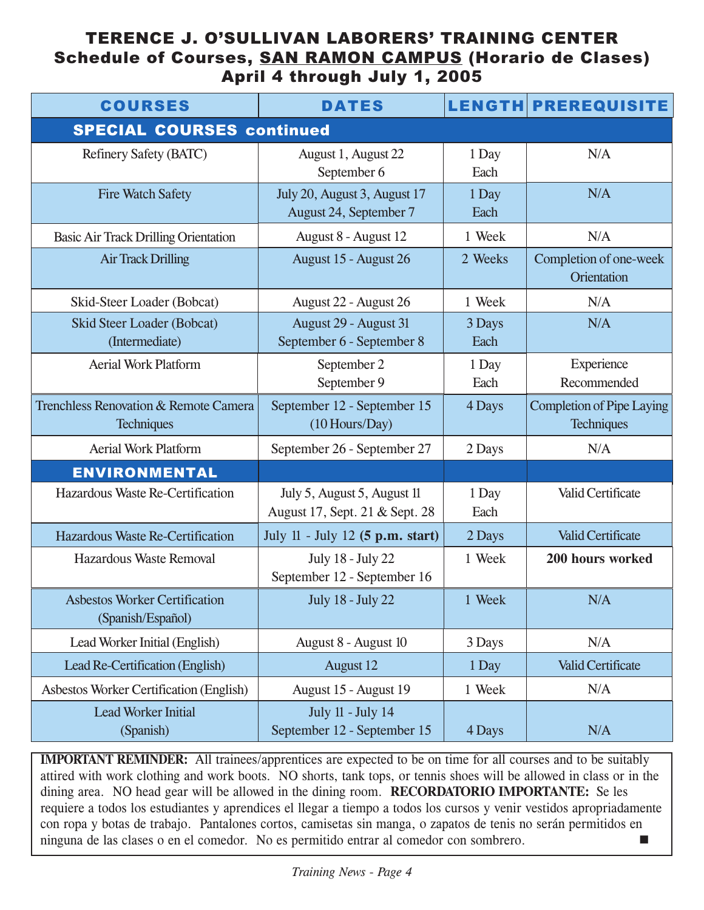### TERENCE J. O'SULLIVAN LABORERS' TRAINING CENTER Schedule of Courses, SAN RAMON CAMPUS (Horario de Clases) April 4 through July 1, 2005

| <b>COURSES</b>                                                        | <b>DATES</b>                                                  |                | <b>LENGTH PREREQUISITE</b>                            |
|-----------------------------------------------------------------------|---------------------------------------------------------------|----------------|-------------------------------------------------------|
| <b>SPECIAL COURSES continued</b>                                      |                                                               |                |                                                       |
| Refinery Safety (BATC)                                                | August 1, August 22<br>September 6                            | 1 Day<br>Each  | N/A                                                   |
| <b>Fire Watch Safety</b>                                              | July 20, August 3, August 17<br>August 24, September 7        | 1 Day<br>Each  | N/A                                                   |
| <b>Basic Air Track Drilling Orientation</b>                           | August 8 - August 12                                          | 1 Week         | N/A                                                   |
| <b>Air Track Drilling</b>                                             | August 15 - August 26                                         | 2 Weeks        | Completion of one-week<br>Orientation                 |
| Skid-Steer Loader (Bobcat)                                            | August 22 - August 26                                         | 1 Week         | N/A                                                   |
| <b>Skid Steer Loader (Bobcat)</b><br>(Intermediate)                   | August 29 - August 31<br>September 6 - September 8            | 3 Days<br>Each | N/A                                                   |
| <b>Aerial Work Platform</b>                                           | September 2<br>September 9                                    | 1 Day<br>Each  | Experience<br>Recommended                             |
| <b>Trenchless Renovation &amp; Remote Camera</b><br><b>Techniques</b> | September 12 - September 15<br>(10 Hours/Day)                 | 4 Days         | <b>Completion of Pipe Laying</b><br><b>Techniques</b> |
| <b>Aerial Work Platform</b>                                           | September 26 - September 27                                   | 2 Days         | N/A                                                   |
| <b>ENVIRONMENTAL</b>                                                  |                                                               |                |                                                       |
| Hazardous Waste Re-Certification                                      | July 5, August 5, August 11<br>August 17, Sept. 21 & Sept. 28 | 1 Day<br>Each  | Valid Certificate                                     |
| Hazardous Waste Re-Certification                                      | July 11 - July 12 (5 p.m. start)                              | 2 Days         | <b>Valid Certificate</b>                              |
| Hazardous Waste Removal                                               | July 18 - July 22<br>September 12 - September 16              | 1 Week         | 200 hours worked                                      |
| <b>Asbestos Worker Certification</b><br>(Spanish/Español)             | <b>July 18 - July 22</b>                                      | 1 Week         | N/A                                                   |
| Lead Worker Initial (English)                                         | August 8 - August 10                                          | 3 Days         | N/A                                                   |
| Lead Re-Certification (English)                                       | <b>August 12</b>                                              | 1 Day          | <b>Valid Certificate</b>                              |
| <b>Asbestos Worker Certification (English)</b>                        | August 15 - August 19                                         | 1 Week         | N/A                                                   |
| <b>Lead Worker Initial</b><br>(Spanish)                               | July 11 - July 14<br>September 12 - September 15              | 4 Days         | N/A                                                   |

**IMPORTANT REMINDER:** All trainees/apprentices are expected to be on time for all courses and to be suitably attired with work clothing and work boots. NO shorts, tank tops, or tennis shoes will be allowed in class or in the dining area. NO head gear will be allowed in the dining room. **RECORDATORIO IMPORTANTE:** Se les requiere a todos los estudiantes y aprendices el llegar a tiempo a todos los cursos y venir vestidos apropriadamente con ropa y botas de trabajo. Pantalones cortos, camisetas sin manga, o zapatos de tenis no serán permitidos en ninguna de las clases o en el comedor. No es permitido entrar al comedor con sombrero.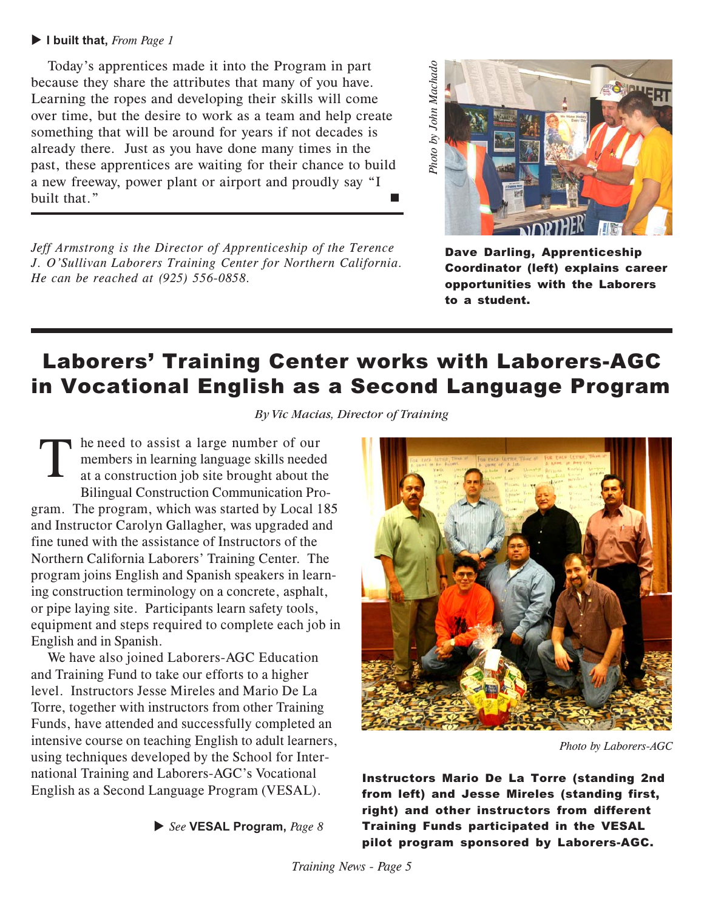### **I built that,** *From Page 1*

Today's apprentices made it into the Program in part because they share the attributes that many of you have. Learning the ropes and developing their skills will come over time, but the desire to work as a team and help create something that will be around for years if not decades is already there. Just as you have done many times in the past, these apprentices are waiting for their chance to build a new freeway, power plant or airport and proudly say "I built that."

*Jeff Armstrong is the Director of Apprenticeship of the Terence J. O'Sullivan Laborers Training Center for Northern California. He can be reached at (925) 556-0858.*



Dave Darling, Apprenticeship Coordinator (left) explains career opportunities with the Laborers to a student.

### Laborers' Training Center works with Laborers-AGC in Vocational English as a Second Language Program

*By Vic Macias, Director of Training*

he need to assist a large number of our members in learning language skills needed at a construction job site brought about the Bilingual Construction Communication Program. The program, which was started by Local 185 and Instructor Carolyn Gallagher, was upgraded and fine tuned with the assistance of Instructors of the Northern California Laborers' Training Center. The program joins English and Spanish speakers in learning construction terminology on a concrete, asphalt, or pipe laying site. Participants learn safety tools, equipment and steps required to complete each job in English and in Spanish. T

We have also joined Laborers-AGC Education and Training Fund to take our efforts to a higher level. Instructors Jesse Mireles and Mario De La Torre, together with instructors from other Training Funds, have attended and successfully completed an intensive course on teaching English to adult learners, using techniques developed by the School for International Training and Laborers-AGC's Vocational English as a Second Language Program (VESAL).





*Photo by Laborers-AGC*

Instructors Mario De La Torre (standing 2nd from left) and Jesse Mireles (standing first, right) and other instructors from different Training Funds participated in the VESAL pilot program sponsored by Laborers-AGC.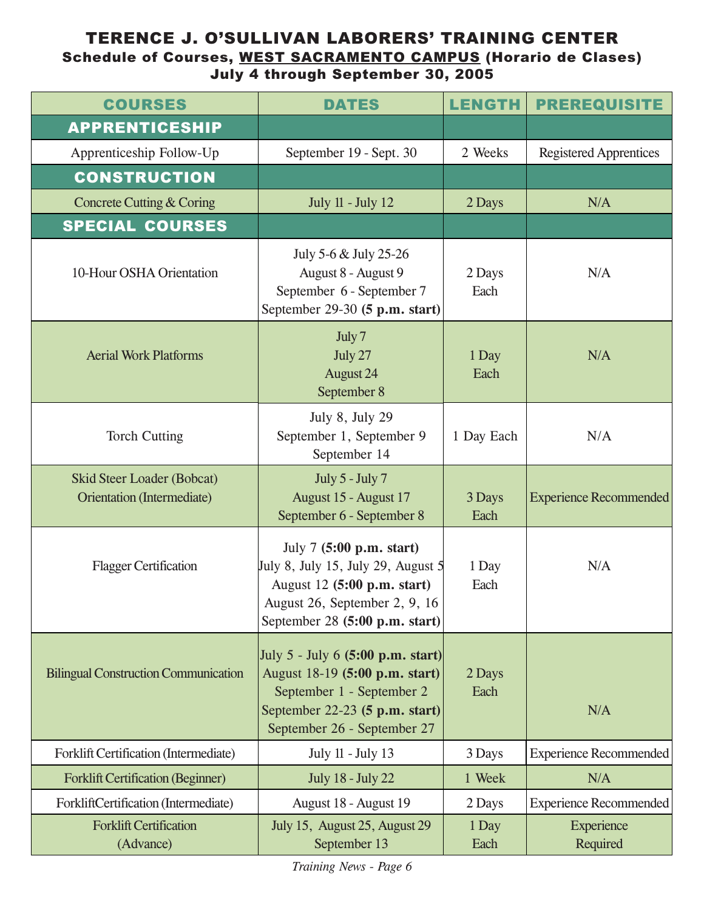### TERENCE J. O'SULLIVAN LABORERS' TRAINING CENTER Schedule of Courses, WEST SACRAMENTO CAMPUS (Horario de Clases) July 4 through September 30, 2005

| <b>COURSES</b>                                           | <b>DATES</b>                                                                                                                                                                  | <b>LENGTH</b>  | <b>PREREQUISITE</b>           |
|----------------------------------------------------------|-------------------------------------------------------------------------------------------------------------------------------------------------------------------------------|----------------|-------------------------------|
| <b>APPRENTICESHIP</b>                                    |                                                                                                                                                                               |                |                               |
| Apprenticeship Follow-Up                                 | September 19 - Sept. 30                                                                                                                                                       | 2 Weeks        | <b>Registered Apprentices</b> |
| <b>CONSTRUCTION</b>                                      |                                                                                                                                                                               |                |                               |
| Concrete Cutting & Coring                                | <b>July 11 - July 12</b>                                                                                                                                                      | 2 Days         | N/A                           |
| <b>SPECIAL COURSES</b>                                   |                                                                                                                                                                               |                |                               |
| 10-Hour OSHA Orientation                                 | July 5-6 & July 25-26<br>August 8 - August 9<br>September 6 - September 7<br>September 29-30 (5 p.m. start)                                                                   | 2 Days<br>Each | N/A                           |
| <b>Aerial Work Platforms</b>                             | July 7<br>July 27<br><b>August 24</b><br>September 8                                                                                                                          | 1 Day<br>Each  | N/A                           |
| <b>Torch Cutting</b>                                     | July 8, July 29<br>September 1, September 9<br>September 14                                                                                                                   | 1 Day Each     | N/A                           |
| Skid Steer Loader (Bobcat)<br>Orientation (Intermediate) | July 5 - July 7<br>August 15 - August 17<br>September 6 - September 8                                                                                                         | 3 Days<br>Each | <b>Experience Recommended</b> |
| <b>Flagger Certification</b>                             | July 7 (5:00 p.m. start)<br>July 8, July 15, July 29, August 5<br>August 12 (5:00 p.m. start)<br>August 26, September 2, 9, 16<br>September 28 $(5:00 \text{ p.m. start})$    | 1 Day<br>Each  | N/A                           |
| <b>Bilingual Construction Communication</b>              | July 5 - July 6 $(5:00 \text{ p.m. start})$<br>August 18-19 (5:00 p.m. start)<br>September 1 - September 2<br>September $22-23$ (5 p.m. start)<br>September 26 - September 27 | 2 Days<br>Each | N/A                           |
| Forklift Certification (Intermediate)                    | July 11 - July 13                                                                                                                                                             | 3 Days         | <b>Experience Recommended</b> |
| <b>Forklift Certification (Beginner)</b>                 | <b>July 18 - July 22</b>                                                                                                                                                      | 1 Week         | N/A                           |
| ForkliftCertification (Intermediate)                     | August 18 - August 19                                                                                                                                                         | 2 Days         | <b>Experience Recommended</b> |
| <b>Forklift Certification</b><br>(Advance)               | July 15, August 25, August 29<br>September 13                                                                                                                                 | 1 Day<br>Each  | Experience<br>Required        |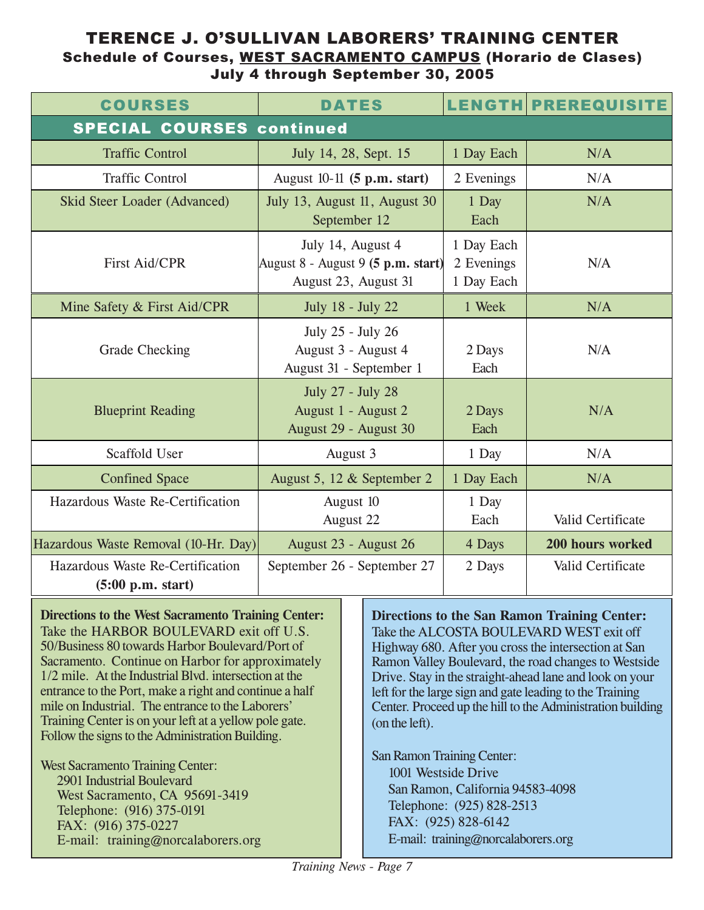### TERENCE J. O'SULLIVAN LABORERS' TRAINING CENTER Schedule of Courses, WEST SACRAMENTO CAMPUS (Horario de Clases) July 4 through September 30, 2005

| <b>COURSES</b>                                        | <b>DATES</b>                                                                                          |                                        | <b>LENGTH PREREQUISITE</b> |
|-------------------------------------------------------|-------------------------------------------------------------------------------------------------------|----------------------------------------|----------------------------|
| <b>SPECIAL COURSES continued</b>                      |                                                                                                       |                                        |                            |
| <b>Traffic Control</b>                                | July 14, 28, Sept. 15                                                                                 | 1 Day Each                             | N/A                        |
| <b>Traffic Control</b>                                | August $10-11$ (5 p.m. start)                                                                         | 2 Evenings                             | N/A                        |
| Skid Steer Loader (Advanced)                          | July 13, August 11, August 30<br>September 12                                                         | 1 Day<br>Each                          | N/A                        |
| <b>First Aid/CPR</b>                                  | July 14, August 4<br>$\left \text{August 8 - August 9 (5 p.m. start)}\right $<br>August 23, August 31 | 1 Day Each<br>2 Evenings<br>1 Day Each | N/A                        |
| Mine Safety & First Aid/CPR                           | July 18 - July 22                                                                                     | 1 Week                                 | N/A                        |
| <b>Grade Checking</b>                                 | July 25 - July 26<br>August 3 - August 4<br>August 31 - September 1                                   | 2 Days<br>Each                         | N/A                        |
| <b>Blueprint Reading</b>                              | July 27 - July 28<br>August 1 - August 2<br>August 29 - August 30                                     | 2 Days<br>Each                         | N/A                        |
| <b>Scaffold User</b>                                  | August 3                                                                                              | 1 Day                                  | N/A                        |
| <b>Confined Space</b>                                 | August 5, 12 & September 2                                                                            | 1 Day Each                             | N/A                        |
| Hazardous Waste Re-Certification                      | August 10<br>August 22                                                                                | 1 Day<br>Each                          | Valid Certificate          |
| Hazardous Waste Removal (10-Hr. Day)                  | August 23 - August 26                                                                                 | 4 Days                                 | 200 hours worked           |
| Hazardous Waste Re-Certification<br>(5:00 p.m. start) | September 26 - September 27                                                                           | 2 Days                                 | Valid Certificate          |

**Directions to the West Sacramento Training Center:** Take the HARBOR BOULEVARD exit off U.S. 50/Business 80 towards Harbor Boulevard/Port of Sacramento. Continue on Harbor for approximately 1/2 mile. At the Industrial Blvd. intersection at the entrance to the Port, make a right and continue a half mile on Industrial. The entrance to the Laborers' Training Center is on your left at a yellow pole gate. Follow the signs to the Administration Building.

West Sacramento Training Center: 2901 Industrial Boulevard West Sacramento, CA 95691-3419 Telephone: (916) 375-0191 FAX: (916) 375-0227 E-mail: training@norcalaborers.org

**Directions to the San Ramon Training Center:** Take the ALCOSTA BOULEVARD WEST exit off Highway 680. After you cross the intersection at San Ramon Valley Boulevard, the road changes to Westside Drive. Stay in the straight-ahead lane and look on your left for the large sign and gate leading to the Training Center. Proceed up the hill to the Administration building (on the left).

San Ramon Training Center: 1001 Westside Drive San Ramon, California 94583-4098 Telephone: (925) 828-2513 FAX: (925) 828-6142 E-mail: training@norcalaborers.org